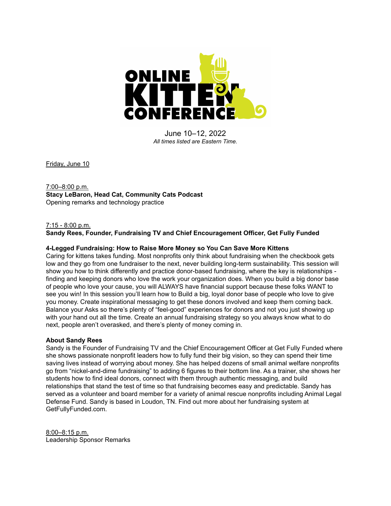

June 10–12, 2022 *All times listed are Eastern Time.*

Friday, June 10

# 7:00–8:00 p.m. **Stacy LeBaron, Head Cat, Community Cats Podcast** Opening remarks and technology practice

#### 7:15 - 8:00 p.m.

**Sandy Rees, Founder, Fundraising TV and Chief Encouragement Officer, Get Fully Funded**

#### **4-Legged Fundraising: How to Raise More Money so You Can Save More Kittens**

Caring for kittens takes funding. Most nonprofits only think about fundraising when the checkbook gets low and they go from one fundraiser to the next, never building long-term sustainability. This session will show you how to think differently and practice donor-based fundraising, where the key is relationships finding and keeping donors who love the work your organization does. When you build a big donor base of people who love your cause, you will ALWAYS have financial support because these folks WANT to see you win! In this session you'll learn how to Build a big, loyal donor base of people who love to give you money. Create inspirational messaging to get these donors involved and keep them coming back. Balance your Asks so there's plenty of "feel-good" experiences for donors and not you just showing up with your hand out all the time. Create an annual fundraising strategy so you always know what to do next, people aren't overasked, and there's plenty of money coming in.

#### **About Sandy Rees**

Sandy is the Founder of Fundraising TV and the Chief Encouragement Officer at Get Fully Funded where she shows passionate nonprofit leaders how to fully fund their big vision, so they can spend their time saving lives instead of worrying about money. She has helped dozens of small animal welfare nonprofits go from "nickel-and-dime fundraising" to adding 6 figures to their bottom line. As a trainer, she shows her students how to find ideal donors, connect with them through authentic messaging, and build relationships that stand the test of time so that fundraising becomes easy and predictable. Sandy has served as a volunteer and board member for a variety of animal rescue nonprofits including Animal Legal Defense Fund. Sandy is based in Loudon, TN. Find out more about her fundraising system at [GetFullyFunded.com.](http://www.getfullyfunded.com/)

8:00–8:15 p.m. Leadership Sponsor Remarks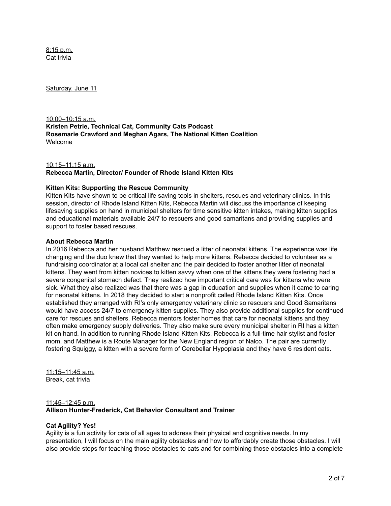8:15 p.m. Cat trivia

Saturday, June 11

10:00–10:15 a.m. **Kristen Petrie, Technical Cat, Community Cats Podcast Rosemarie Crawford and Meghan Agars, The National Kitten Coalition** Welcome

10:15–11:15 a.m. **Rebecca Martin, Director/ Founder of Rhode Island Kitten Kits**

#### **Kitten Kits: Supporting the Rescue Community**

Kitten Kits have shown to be critical life saving tools in shelters, rescues and veterinary clinics. In this session, director of Rhode Island Kitten Kits, Rebecca Martin will discuss the importance of keeping lifesaving supplies on hand in municipal shelters for time sensitive kitten intakes, making kitten supplies and educational materials available 24/7 to rescuers and good samaritans and providing supplies and support to foster based rescues.

#### **About Rebecca Martin**

In 2016 Rebecca and her husband Matthew rescued a litter of neonatal kittens. The experience was life changing and the duo knew that they wanted to help more kittens. Rebecca decided to volunteer as a fundraising coordinator at a local cat shelter and the pair decided to foster another litter of neonatal kittens. They went from kitten novices to kitten savvy when one of the kittens they were fostering had a severe congenital stomach defect. They realized how important critical care was for kittens who were sick. What they also realized was that there was a gap in education and supplies when it came to caring for neonatal kittens. In 2018 they decided to start a nonprofit called Rhode Island Kitten Kits. Once established they arranged with RI's only emergency veterinary clinic so rescuers and Good Samaritans would have access 24/7 to emergency kitten supplies. They also provide additional supplies for continued care for rescues and shelters. Rebecca mentors foster homes that care for neonatal kittens and they often make emergency supply deliveries. They also make sure every municipal shelter in RI has a kitten kit on hand. In addition to running Rhode Island Kitten Kits, Rebecca is a full-time hair stylist and foster mom, and Matthew is a Route Manager for the New England region of Nalco. The pair are currently fostering Squiggy, a kitten with a severe form of Cerebellar Hypoplasia and they have 6 resident cats.

11:15–11:45 a.m. Break, cat trivia

## 11:45–12:45 p.m. **Allison Hunter-Frederick, Cat Behavior Consultant and Trainer**

#### **Cat Agility? Yes!**

Agility is a fun activity for cats of all ages to address their physical and cognitive needs. In my presentation, I will focus on the main agility obstacles and how to affordably create those obstacles. I will also provide steps for teaching those obstacles to cats and for combining those obstacles into a complete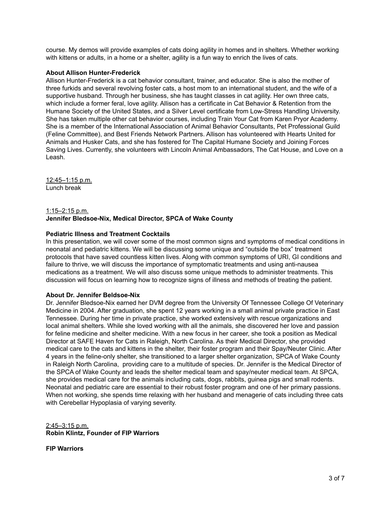course. My demos will provide examples of cats doing agility in homes and in shelters. Whether working with kittens or adults, in a home or a shelter, agility is a fun way to enrich the lives of cats.

#### **About Allison Hunter-Frederick**

Allison Hunter-Frederick is a cat behavior consultant, trainer, and educator. She is also the mother of three furkids and several revolving foster cats, a host mom to an international student, and the wife of a supportive husband. Through her business, she has taught classes in cat agility. Her own three cats, which include a former feral, love agility. Allison has a certificate in Cat Behavior & Retention from the Humane Society of the United States, and a Silver Level certificate from Low-Stress Handling University. She has taken multiple other cat behavior courses, including Train Your Cat from Karen Pryor Academy. She is a member of the International Association of Animal Behavior Consultants, Pet Professional Guild (Feline Committee), and Best Friends Network Partners. Allison has volunteered with Hearts United for Animals and Husker Cats, and she has fostered for The Capital Humane Society and Joining Forces Saving Lives. Currently, she volunteers with Lincoln Animal Ambassadors, The Cat House, and Love on a Leash.

12:45–1:15 p.m. Lunch break

#### 1:15–2:15 p.m. **Jennifer Bledsoe-Nix, Medical Director, SPCA of Wake County**

## **Pediatric Illness and Treatment Cocktails**

In this presentation, we will cover some of the most common signs and symptoms of medical conditions in neonatal and pediatric kittens. We will be discussing some unique and "outside the box" treatment protocols that have saved countless kitten lives. Along with common symptoms of URI, GI conditions and failure to thrive, we will discuss the importance of symptomatic treatments and using anti-nausea medications as a treatment. We will also discuss some unique methods to administer treatments. This discussion will focus on learning how to recognize signs of illness and methods of treating the patient.

#### **About Dr. Jennifer Beldsoe-Nix**

Dr. Jennifer Bledsoe-Nix earned her DVM degree from the University Of Tennessee College Of Veterinary Medicine in 2004. After graduation, she spent 12 years working in a small animal private practice in East Tennessee. During her time in private practice, she worked extensively with rescue organizations and local animal shelters. While she loved working with all the animals, she discovered her love and passion for feline medicine and shelter medicine. With a new focus in her career, she took a position as Medical Director at SAFE Haven for Cats in Raleigh, North Carolina. As their Medical Director, she provided medical care to the cats and kittens in the shelter, their foster program and their Spay/Neuter Clinic. After 4 years in the feline-only shelter, she transitioned to a larger shelter organization, SPCA of Wake County in Raleigh North Carolina, providing care to a multitude of species. Dr. Jennifer is the Medical Director of the SPCA of Wake County and leads the shelter medical team and spay/neuter medical team. At SPCA, she provides medical care for the animals including cats, dogs, rabbits, guinea pigs and small rodents. Neonatal and pediatric care are essential to their robust foster program and one of her primary passions. When not working, she spends time relaxing with her husband and menagerie of cats including three cats with Cerebellar Hypoplasia of varying severity.

2:45–3:15 p.m. **Robin Klintz, Founder of FIP Warriors**

**FIP Warriors**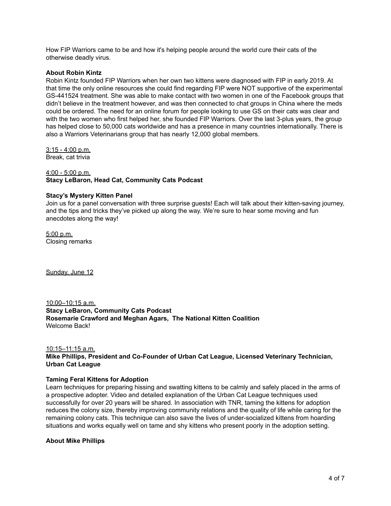How FIP Warriors came to be and how it's helping people around the world cure their cats of the otherwise deadly virus.

#### **About Robin Kintz**

Robin Kintz founded FIP Warriors when her own two kittens were diagnosed with FIP in early 2019. At that time the only online resources she could find regarding FIP were NOT supportive of the experimental GS-441524 treatment. She was able to make contact with two women in one of the Facebook groups that didn't believe in the treatment however, and was then connected to chat groups in China where the meds could be ordered. The need for an online forum for people looking to use GS on their cats was clear and with the two women who first helped her, she founded FIP Warriors. Over the last 3-plus years, the group has helped close to 50,000 cats worldwide and has a presence in many countries internationally. There is also a Warriors Veterinarians group that has nearly 12,000 global members.

3:15 - 4:00 p.m. Break, cat trivia

# 4:00 - 5:00 p.m. **Stacy LeBaron, Head Cat, Community Cats Podcast**

## **Stacy's Mystery Kitten Panel**

Join us for a panel conversation with three surprise guests! Each will talk about their kitten-saving journey, and the tips and tricks they've picked up along the way. We're sure to hear some moving and fun anecdotes along the way!

5:00 p.m. Closing remarks

Sunday, June 12

10:00–10:15 a.m. **Stacy LeBaron, Community Cats Podcast Rosemarie Crawford and Meghan Agars, The National Kitten Coalition** Welcome Back!

#### 10:15–11:15 a.m.

**Mike Phillips, President and Co-Founder of Urban Cat League, Licensed Veterinary Technician, Urban Cat League**

#### **Taming Feral Kittens for Adoption**

Learn techniques for preparing hissing and swatting kittens to be calmly and safely placed in the arms of a prospective adopter. Video and detailed explanation of the Urban Cat League techniques used successfully for over 20 years will be shared. In association with TNR, taming the kittens for adoption reduces the colony size, thereby improving community relations and the quality of life while caring for the remaining colony cats. This technique can also save the lives of under-socialized kittens from hoarding situations and works equally well on tame and shy kittens who present poorly in the adoption setting.

#### **About Mike Phillips**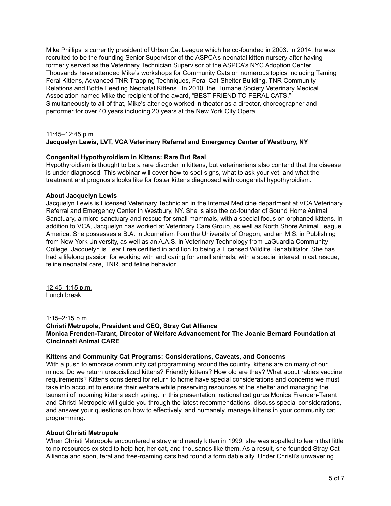Mike Phillips is currently president of Urban Cat League which he co-founded in 2003. In 2014, he was recruited to be the founding Senior Supervisor of the ASPCA's neonatal kitten nursery after having formerly served as the Veterinary Technician Supervisor of the ASPCA's NYC Adoption Center. Thousands have attended Mike's workshops for Community Cats on numerous topics including Taming Feral Kittens, Advanced TNR Trapping Techniques, Feral Cat-Shelter Building, TNR Community Relations and Bottle Feeding Neonatal Kittens. In 2010, the Humane Society Veterinary Medical Association named Mike the recipient of the award, "BEST FRIEND TO FERAL CATS." Simultaneously to all of that, Mike's alter ego worked in theater as a director, choreographer and performer for over 40 years including 20 years at the New York City Opera.

#### 11:45–12:45 p.m.

# **Jacquelyn Lewis, LVT, VCA Veterinary Referral and Emergency Center of Westbury, NY**

## **Congenital Hypothyroidism in Kittens: Rare But Real**

Hypothyroidism is thought to be a rare disorder in kittens, but veterinarians also contend that the disease is under-diagnosed. This webinar will cover how to spot signs, what to ask your vet, and what the treatment and prognosis looks like for foster kittens diagnosed with congenital hypothyroidism.

#### **About Jacquelyn Lewis**

Jacquelyn Lewis is Licensed Veterinary Technician in the Internal Medicine department at VCA Veterinary Referral and Emergency Center in Westbury, NY. She is also the co-founder of Sound Home Animal Sanctuary, a micro-sanctuary and rescue for small mammals, with a special focus on orphaned kittens. In addition to VCA, Jacquelyn has worked at Veterinary Care Group, as well as North Shore Animal League America. She possesses a B.A. in Journalism from the University of Oregon, and an M.S. in Publishing from New York University, as well as an A.A.S. in Veterinary Technology from LaGuardia Community College. Jacquelyn is Fear Free certified in addition to being a Licensed Wildlife Rehabilitator. She has had a lifelong passion for working with and caring for small animals, with a special interest in cat rescue, feline neonatal care, TNR, and feline behavior.

12:45–1:15 p.m. Lunch break

#### 1:15–2:15 p.m.

# **Christi Metropole, President and CEO, Stray Cat Alliance Monica Frenden-Tarant, Director of Welfare Advancement for The Joanie Bernard Foundation at Cincinnati Animal CARE**

#### **Kittens and Community Cat Programs: Considerations, Caveats, and Concerns**

With a push to embrace community cat programming around the country, kittens are on many of our minds. Do we return unsocialized kittens? Friendly kittens? How old are they? What about rabies vaccine requirements? Kittens considered for return to home have special considerations and concerns we must take into account to ensure their welfare while preserving resources at the shelter and managing the tsunami of incoming kittens each spring. In this presentation, national cat gurus Monica Frenden-Tarant and Christi Metropole will guide you through the latest recommendations, discuss special considerations, and answer your questions on how to effectively, and humanely, manage kittens in your community cat programming.

#### **About Christi Metropole**

When Christi Metropole encountered a stray and needy kitten in 1999, she was appalled to learn that little to no resources existed to help her, her cat, and thousands like them. As a result, she founded Stray Cat Alliance and soon, feral and free-roaming cats had found a formidable ally. Under Christi's unwavering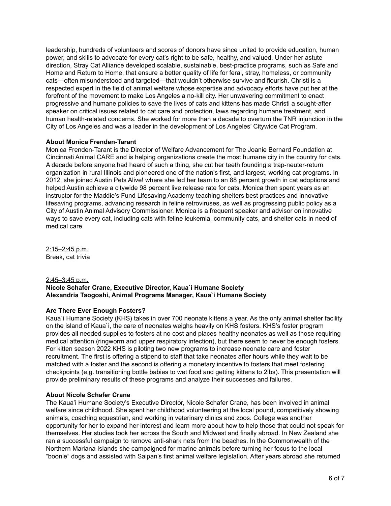leadership, hundreds of volunteers and scores of donors have since united to provide education, human power, and skills to advocate for every cat's right to be safe, healthy, and valued. Under her astute direction, Stray Cat Alliance developed scalable, sustainable, best-practice programs, such as Safe and Home and Return to Home, that ensure a better quality of life for feral, stray, homeless, or community cats—often misunderstood and targeted—that wouldn't otherwise survive and flourish. Christi is a respected expert in the field of animal welfare whose expertise and advocacy efforts have put her at the forefront of the movement to make Los Angeles a no-kill city. Her unwavering commitment to enact progressive and humane policies to save the lives of cats and kittens has made Christi a sought-after speaker on critical issues related to cat care and protection, laws regarding humane treatment, and human health-related concerns. She worked for more than a decade to overturn the TNR injunction in the City of Los Angeles and was a leader in the development of Los Angeles' Citywide Cat Program.

## **About Monica Frenden-Tarant**

Monica Frenden-Tarant is the Director of Welfare Advancement for The Joanie Bernard Foundation at Cincinnati Animal CARE and is helping organizations create the most humane city in the country for cats. A decade before anyone had heard of such a thing, she cut her teeth founding a trap-neuter-return organization in rural Illinois and pioneered one of the nation's first, and largest, working cat programs. In 2012, she joined Austin Pets Alive! where she led her team to an 88 percent growth in cat adoptions and helped Austin achieve a citywide 98 percent live release rate for cats. Monica then spent years as an instructor for the Maddie's Fund Lifesaving Academy teaching shelters best practices and innovative lifesaving programs, advancing research in feline retroviruses, as well as progressing public policy as a City of Austin Animal Advisory Commissioner. Monica is a frequent speaker and advisor on innovative ways to save every cat, including cats with feline leukemia, community cats, and shelter cats in need of medical care.

2:15–2:45 p.m. Break, cat trivia

# 2:45–3:45 p.m. **Nicole Schafer Crane, Executive Director, Kaua`i Humane Society Alexandria Taogoshi, Animal Programs Manager, Kaua`i Humane Society**

# **Are There Ever Enough Fosters?**

Kaua`i Humane Society (KHS) takes in over 700 neonate kittens a year. As the only animal shelter facility on the island of Kaua`i, the care of neonates weighs heavily on KHS fosters. KHS's foster program provides all needed supplies to fosters at no cost and places healthy neonates as well as those requiring medical attention (ringworm and upper respiratory infection), but there seem to never be enough fosters. For kitten season 2022 KHS is piloting two new programs to increase neonate care and foster recruitment. The first is offering a stipend to staff that take neonates after hours while they wait to be matched with a foster and the second is offering a monetary incentive to fosters that meet fostering checkpoints (e.g. transitioning bottle babies to wet food and getting kittens to 2lbs). This presentation will provide preliminary results of these programs and analyze their successes and failures.

# **About Nicole Schafer Crane**

The Kaua'i Humane Society's Executive Director, Nicole Schafer Crane, has been involved in animal welfare since childhood. She spent her childhood volunteering at the local pound, competitively showing animals, coaching equestrian, and working in veterinary clinics and zoos. College was another opportunity for her to expand her interest and learn more about how to help those that could not speak for themselves. Her studies took her across the South and Midwest and finally abroad. In New Zealand she ran a successful campaign to remove anti-shark nets from the beaches. In the Commonwealth of the Northern Mariana Islands she campaigned for marine animals before turning her focus to the local "boonie" dogs and assisted with Saipan's first animal welfare legislation. After years abroad she returned